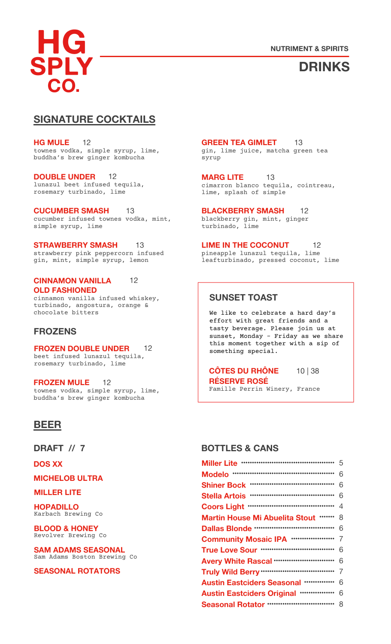

# **DRINKS**

## **SIGNATURE COCKTAILS**

townes vodka, simple syrup, lime, buddha's brew ginger kombucha **HG MULE** 12

lunazul beet infused tequila, rosemary turbinado, lime **DOUBLE UNDER** 12

cucumber infused townes vodka, mint, simple syrup, lime **CUCUMBER SMASH** 13

strawberry pink peppercorn infused gin, mint, simple syrup, lemon **STRAWBERRY SMASH** 13

cinnamon vanilla infused whiskey, turbinado, angostura, orange & chocolate bitters **CINNAMON VANILLA OLD FASHIONED** 12

### **FROZENS**

beet infused lunazul tequila, rosemary turbinado, lime **FROZEN DOUBLE UNDER** 12

townes vodka, simple syrup, lime, buddha's brew ginger kombucha **FROZEN MULE** 12

## **BEER**

**DRAFT // 7**

**DOS XX**

**MICHELOB ULTRA**

### **MILLER LITE**

Karbach Brewing Co **HOPADILLO**

Revolver Brewing Co **BLOOD & HONEY**

Sam Adams Boston Brewing Co **SAM ADAMS SEASONAL**

**SEASONAL ROTATORS**

**GREEN TEA GIMLET** 13

gin, lime juice, matcha green tea syrup

cimarron blanco tequila, cointreau, lime, splash of simple **MARG LITE** 13

blackberry gin, mint, ginger turbinado, lime **BLACKBERRY SMASH** 12

pineapple lunazul tequila, lime leafturbinado, pressed coconut, lime **LIME IN THE COCONUT** 12

### **SUNSET TOAST**

We like to celebrate a hard day's effort with great friends and a tasty beverage. Please join us at sunset, Monday – Friday as we share this moment together with a sip of something special.

Famille Perrin Winery, France **CÔTES DU RHÔNE RÉSERVE ROSÉ** 10 | 38

## **BOTTLES & CANS**

|                                                    | 5 |
|----------------------------------------------------|---|
|                                                    | 6 |
|                                                    |   |
|                                                    |   |
|                                                    |   |
| Martin House Mi Abuelita Stout  8                  |   |
|                                                    |   |
| <b>Community Mosaic IPA ··················· 7</b>  |   |
|                                                    |   |
|                                                    |   |
|                                                    |   |
| <b>Austin Eastciders Seasonal ··············</b>   | 6 |
| Austin Eastciders Original  6                      |   |
| Seasonal Rotator ······························· 8 |   |